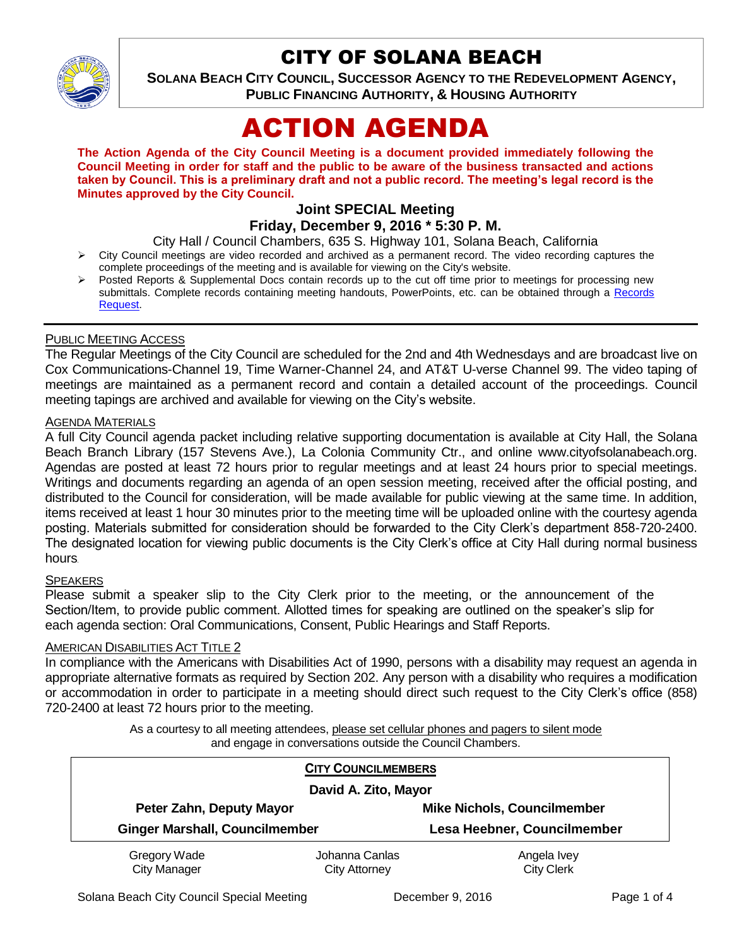

# CITY OF SOLANA BEACH

**SOLANA BEACH CITY COUNCIL, SUCCESSOR AGENCY TO THE REDEVELOPMENT AGENCY, PUBLIC FINANCING AUTHORITY, & HOUSING AUTHORITY** 

# ACTION AGENDA

**The Action Agenda of the City Council Meeting is a document provided immediately following the Council Meeting in order for staff and the public to be aware of the business transacted and actions taken by Council. This is a preliminary draft and not a public record. The meeting's legal record is the Minutes approved by the City Council.**

# **Joint SPECIAL Meeting**

## **Friday, December 9, 2016 \* 5:30 P. M.**

City Hall / Council Chambers, 635 S. Highway 101, Solana Beach, California

- $\triangleright$  City Council meetings are video recorded and archived as a permanent record. The video recording captures the complete proceedings of the meeting and is available for viewing on the City's website.
- Posted Reports & Supplemental Docs contain records up to the cut off time prior to meetings for processing new submittals. Complete records containing meeting handouts, PowerPoints, etc. can be obtained through a Records [Request.](http://www.ci.solana-beach.ca.us/index.asp?SEC=F5D45D10-70CE-4291-A27C-7BD633FC6742&Type=B_BASIC)

#### PUBLIC MEETING ACCESS

The Regular Meetings of the City Council are scheduled for the 2nd and 4th Wednesdays and are broadcast live on Cox Communications-Channel 19, Time Warner-Channel 24, and AT&T U-verse Channel 99. The video taping of meetings are maintained as a permanent record and contain a detailed account of the proceedings. Council meeting tapings are archived and available for viewing on the City's website.

#### **AGENDA MATERIALS**

A full City Council agenda packet including relative supporting documentation is available at City Hall, the Solana Beach Branch Library (157 Stevens Ave.), La Colonia Community Ctr., and online www.cityofsolanabeach.org. Agendas are posted at least 72 hours prior to regular meetings and at least 24 hours prior to special meetings. Writings and documents regarding an agenda of an open session meeting, received after the official posting, and distributed to the Council for consideration, will be made available for public viewing at the same time. In addition, items received at least 1 hour 30 minutes prior to the meeting time will be uploaded online with the courtesy agenda posting. Materials submitted for consideration should be forwarded to the City Clerk's department 858-720-2400. The designated location for viewing public documents is the City Clerk's office at City Hall during normal business hours.

#### **SPEAKERS**

Please submit a speaker slip to the City Clerk prior to the meeting, or the announcement of the Section/Item, to provide public comment. Allotted times for speaking are outlined on the speaker's slip for each agenda section: Oral Communications, Consent, Public Hearings and Staff Reports.

#### AMERICAN DISABILITIES ACT TITLE 2

In compliance with the Americans with Disabilities Act of 1990, persons with a disability may request an agenda in appropriate alternative formats as required by Section 202. Any person with a disability who requires a modification or accommodation in order to participate in a meeting should direct such request to the City Clerk's office (858) 720-2400 at least 72 hours prior to the meeting.

> As a courtesy to all meeting attendees, please set cellular phones and pagers to silent mode and engage in conversations outside the Council Chambers.

| <b>CITY COUNCILMEMBERS</b><br>David A. Zito, Mayor |                                        |                                    |
|----------------------------------------------------|----------------------------------------|------------------------------------|
| Peter Zahn, Deputy Mayor                           |                                        | <b>Mike Nichols, Councilmember</b> |
| <b>Ginger Marshall, Councilmember</b>              |                                        | Lesa Heebner, Councilmember        |
| Gregory Wade<br><b>City Manager</b>                | Johanna Canlas<br><b>City Attorney</b> | Angela Ivey<br><b>City Clerk</b>   |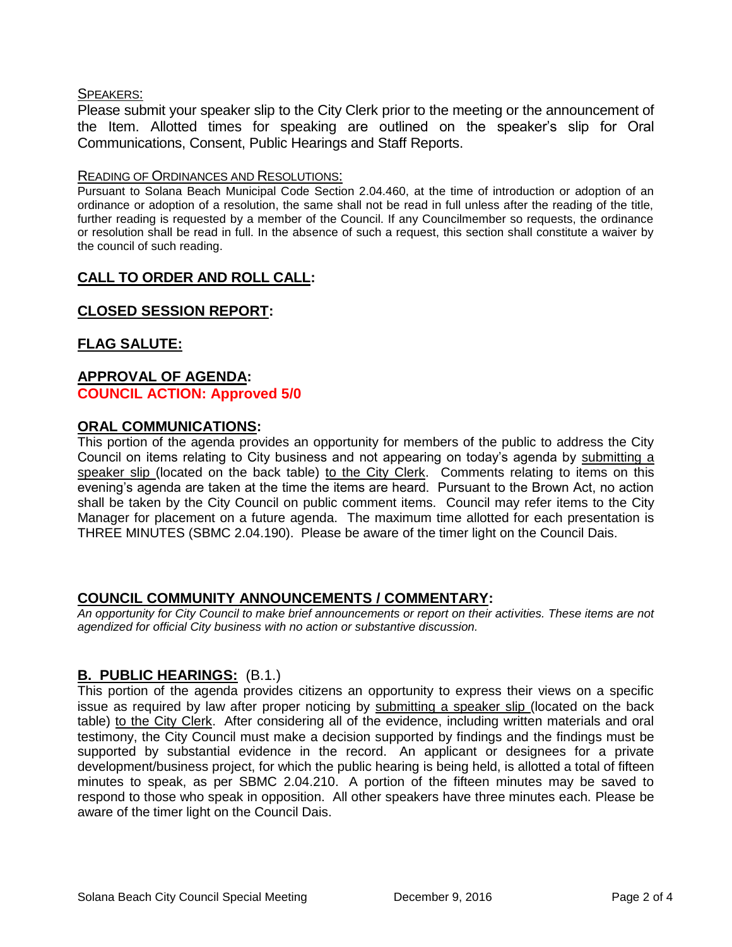#### SPEAKERS:

Please submit your speaker slip to the City Clerk prior to the meeting or the announcement of the Item. Allotted times for speaking are outlined on the speaker's slip for Oral Communications, Consent, Public Hearings and Staff Reports.

#### READING OF ORDINANCES AND RESOLUTIONS:

Pursuant to Solana Beach Municipal Code Section 2.04.460, at the time of introduction or adoption of an ordinance or adoption of a resolution, the same shall not be read in full unless after the reading of the title, further reading is requested by a member of the Council. If any Councilmember so requests, the ordinance or resolution shall be read in full. In the absence of such a request, this section shall constitute a waiver by the council of such reading.

#### **CALL TO ORDER AND ROLL CALL:**

# **CLOSED SESSION REPORT:**

# **FLAG SALUTE:**

#### **APPROVAL OF AGENDA: COUNCIL ACTION: Approved 5/0**

#### **ORAL COMMUNICATIONS:**

This portion of the agenda provides an opportunity for members of the public to address the City Council on items relating to City business and not appearing on today's agenda by submitting a speaker slip (located on the back table) to the City Clerk. Comments relating to items on this evening's agenda are taken at the time the items are heard. Pursuant to the Brown Act, no action shall be taken by the City Council on public comment items. Council may refer items to the City Manager for placement on a future agenda. The maximum time allotted for each presentation is THREE MINUTES (SBMC 2.04.190). Please be aware of the timer light on the Council Dais.

#### **COUNCIL COMMUNITY ANNOUNCEMENTS / COMMENTARY:**

*An opportunity for City Council to make brief announcements or report on their activities. These items are not agendized for official City business with no action or substantive discussion.* 

#### **B. PUBLIC HEARINGS:** (B.1.)

This portion of the agenda provides citizens an opportunity to express their views on a specific issue as required by law after proper noticing by submitting a speaker slip (located on the back table) to the City Clerk. After considering all of the evidence, including written materials and oral testimony, the City Council must make a decision supported by findings and the findings must be supported by substantial evidence in the record. An applicant or designees for a private development/business project, for which the public hearing is being held, is allotted a total of fifteen minutes to speak, as per SBMC 2.04.210. A portion of the fifteen minutes may be saved to respond to those who speak in opposition. All other speakers have three minutes each. Please be aware of the timer light on the Council Dais.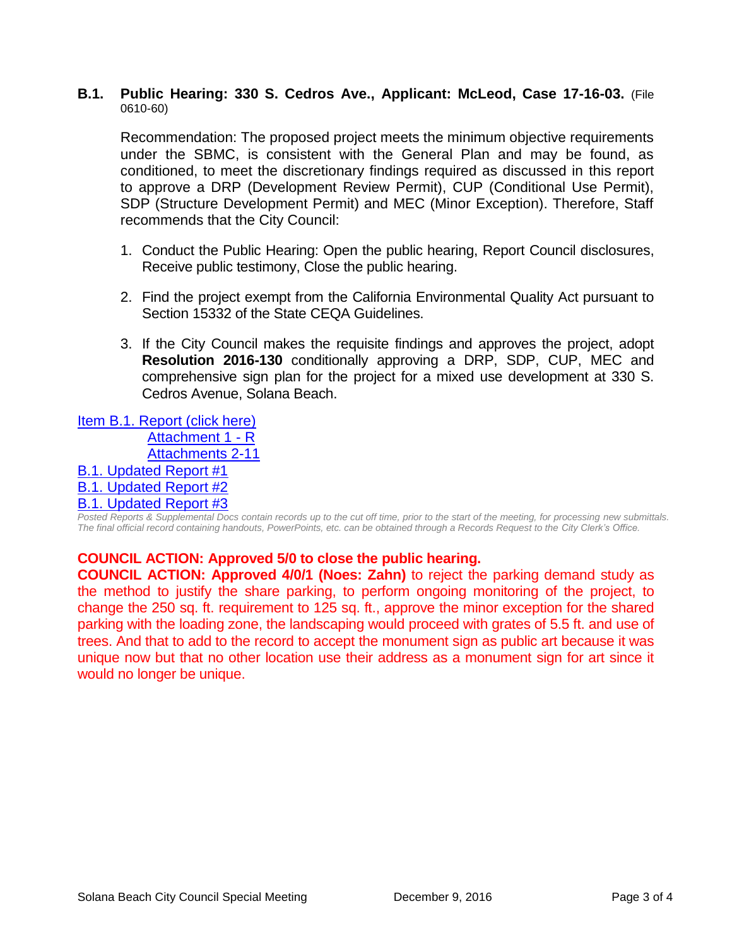#### **B.1. Public Hearing: 330 S. Cedros Ave., Applicant: McLeod, Case 17-16-03.** (File 0610-60)

Recommendation: The proposed project meets the minimum objective requirements under the SBMC, is consistent with the General Plan and may be found, as conditioned, to meet the discretionary findings required as discussed in this report to approve a DRP (Development Review Permit), CUP (Conditional Use Permit), SDP (Structure Development Permit) and MEC (Minor Exception). Therefore, Staff recommends that the City Council:

- 1. Conduct the Public Hearing: Open the public hearing, Report Council disclosures, Receive public testimony, Close the public hearing.
- 2. Find the project exempt from the California Environmental Quality Act pursuant to Section 15332 of the State CEQA Guidelines.
- 3. If the City Council makes the requisite findings and approves the project, adopt **Resolution 2016-130** conditionally approving a DRP, SDP, CUP, MEC and comprehensive sign plan for the project for a mixed use development at 330 S. Cedros Avenue, Solana Beach.

[Item B.1. Report \(click here\)](https://solanabeach.govoffice3.com/vertical/Sites/%7B840804C2-F869-4904-9AE3-720581350CE7%7D/uploads/Item_B.1._Report_(click_here)_-_12-09-16.PDF)

[Attachment 1](https://solanabeach.govoffice3.com/vertical/Sites/%7B840804C2-F869-4904-9AE3-720581350CE7%7D/uploads/Attachment_1_-_12-09-16_-_R.pdf) - R

[Attachments 2-11](https://solanabeach.govoffice3.com/vertical/Sites/%7B840804C2-F869-4904-9AE3-720581350CE7%7D/uploads/Atatchments_2-11_-_12-09-16.pdf)

[B.1. Updated Report #1](https://solanabeach.govoffice3.com/vertical/Sites/%7B840804C2-F869-4904-9AE3-720581350CE7%7D/uploads/B.1._Updated_Report__1_-_12-09-16_.pdf)

# [B.1. Updated Report #2](https://solanabeach.govoffice3.com/vertical/Sites/%7B840804C2-F869-4904-9AE3-720581350CE7%7D/uploads/B.1._Updated_Report__2_-_12-09-16_.pdf)

# [B.1. Updated Report #3](https://solanabeach.govoffice3.com/vertical/Sites/%7B840804C2-F869-4904-9AE3-720581350CE7%7D/uploads/B.1._Updated_Report__3_-_12-09-16.pdf)

*Posted Reports & Supplemental Docs contain records up to the cut off time, prior to the start of the meeting, for processing new submittals. The final official record containing handouts, PowerPoints, etc. can be obtained through a Records Request to the City Clerk's Office.*

#### **COUNCIL ACTION: Approved 5/0 to close the public hearing.**

**COUNCIL ACTION: Approved 4/0/1 (Noes: Zahn)** to reject the parking demand study as the method to justify the share parking, to perform ongoing monitoring of the project, to change the 250 sq. ft. requirement to 125 sq. ft., approve the minor exception for the shared parking with the loading zone, the landscaping would proceed with grates of 5.5 ft. and use of trees. And that to add to the record to accept the monument sign as public art because it was unique now but that no other location use their address as a monument sign for art since it would no longer be unique.